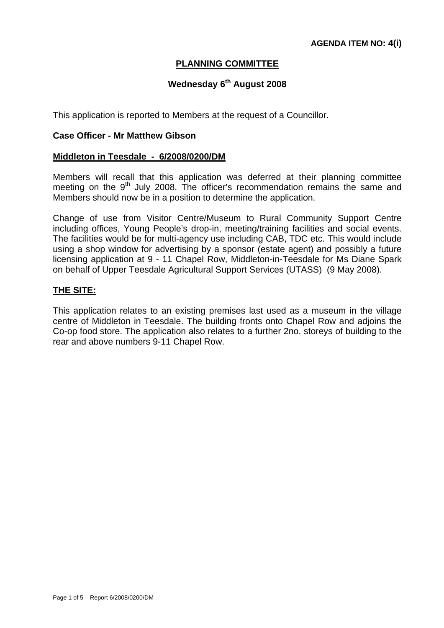## **PLANNING COMMITTEE**

# **Wednesday 6<sup>th</sup> August 2008**

This application is reported to Members at the request of a Councillor.

#### **Case Officer - Mr Matthew Gibson**

#### **Middleton in Teesdale - 6/2008/0200/DM**

Members will recall that this application was deferred at their planning committee meeting on the 9<sup>th</sup> July 2008. The officer's recommendation remains the same and Members should now be in a position to determine the application.

Change of use from Visitor Centre/Museum to Rural Community Support Centre including offices, Young People's drop-in, meeting/training facilities and social events. The facilities would be for multi-agency use including CAB, TDC etc. This would include using a shop window for advertising by a sponsor (estate agent) and possibly a future licensing application at 9 - 11 Chapel Row, Middleton-in-Teesdale for Ms Diane Spark on behalf of Upper Teesdale Agricultural Support Services (UTASS) (9 May 2008).

#### **THE SITE:**

This application relates to an existing premises last used as a museum in the village centre of Middleton in Teesdale. The building fronts onto Chapel Row and adjoins the Co-op food store. The application also relates to a further 2no. storeys of building to the rear and above numbers 9-11 Chapel Row.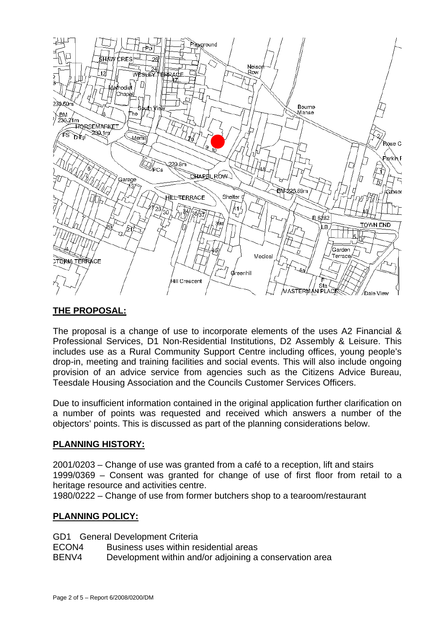

# **THE PROPOSAL:**

The proposal is a change of use to incorporate elements of the uses A2 Financial & Professional Services, D1 Non-Residential Institutions, D2 Assembly & Leisure. This includes use as a Rural Community Support Centre including offices, young people's drop-in, meeting and training facilities and social events. This will also include ongoing provision of an advice service from agencies such as the Citizens Advice Bureau, Teesdale Housing Association and the Councils Customer Services Officers.

Due to insufficient information contained in the original application further clarification on a number of points was requested and received which answers a number of the objectors' points. This is discussed as part of the planning considerations below.

# **PLANNING HISTORY:**

2001/0203 – Change of use was granted from a café to a reception, lift and stairs 1999/0369 – Consent was granted for change of use of first floor from retail to a heritage resource and activities centre.

1980/0222 – Change of use from former butchers shop to a tearoom/restaurant

### **PLANNING POLICY:**

GD1 General Development Criteria

ECON4 Business uses within residential areas

BENV4 Development within and/or adjoining a conservation area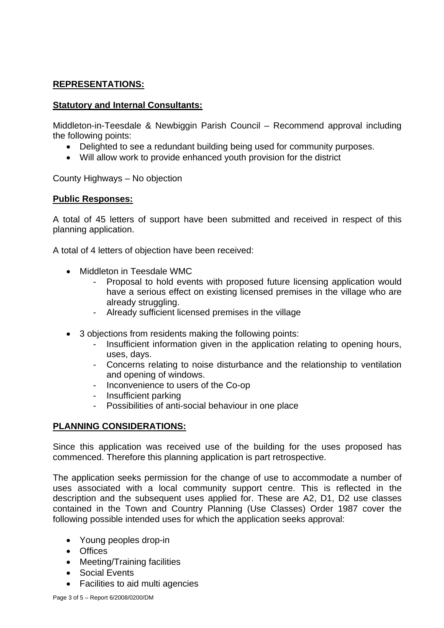# **REPRESENTATIONS:**

### **Statutory and Internal Consultants:**

Middleton-in-Teesdale & Newbiggin Parish Council – Recommend approval including the following points:

- Delighted to see a redundant building being used for community purposes.
- Will allow work to provide enhanced youth provision for the district

County Highways – No objection

### **Public Responses:**

A total of 45 letters of support have been submitted and received in respect of this planning application.

A total of 4 letters of objection have been received:

- Middleton in Teesdale WMC
	- Proposal to hold events with proposed future licensing application would have a serious effect on existing licensed premises in the village who are already struggling.
	- Already sufficient licensed premises in the village
- 3 objections from residents making the following points:
	- Insufficient information given in the application relating to opening hours, uses, days.
	- Concerns relating to noise disturbance and the relationship to ventilation and opening of windows.
	- Inconvenience to users of the Co-op
	- Insufficient parking
	- Possibilities of anti-social behaviour in one place

# **PLANNING CONSIDERATIONS:**

Since this application was received use of the building for the uses proposed has commenced. Therefore this planning application is part retrospective.

The application seeks permission for the change of use to accommodate a number of uses associated with a local community support centre. This is reflected in the description and the subsequent uses applied for. These are A2, D1, D2 use classes contained in the Town and Country Planning (Use Classes) Order 1987 cover the following possible intended uses for which the application seeks approval:

- Young peoples drop-in
- Offices
- Meeting/Training facilities
- Social Events
- Facilities to aid multi agencies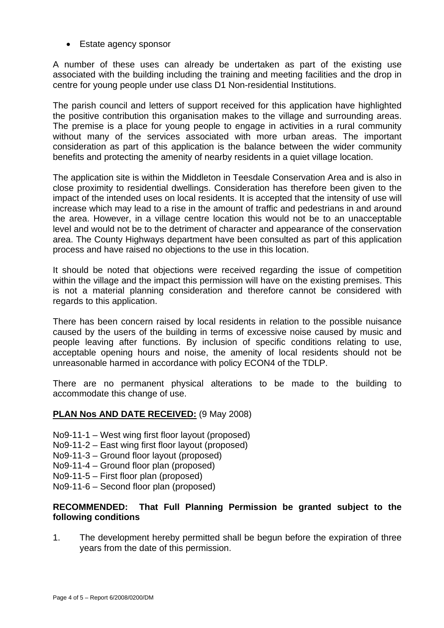• Estate agency sponsor

A number of these uses can already be undertaken as part of the existing use associated with the building including the training and meeting facilities and the drop in centre for young people under use class D1 Non-residential Institutions.

The parish council and letters of support received for this application have highlighted the positive contribution this organisation makes to the village and surrounding areas. The premise is a place for young people to engage in activities in a rural community without many of the services associated with more urban areas. The important consideration as part of this application is the balance between the wider community benefits and protecting the amenity of nearby residents in a quiet village location.

The application site is within the Middleton in Teesdale Conservation Area and is also in close proximity to residential dwellings. Consideration has therefore been given to the impact of the intended uses on local residents. It is accepted that the intensity of use will increase which may lead to a rise in the amount of traffic and pedestrians in and around the area. However, in a village centre location this would not be to an unacceptable level and would not be to the detriment of character and appearance of the conservation area. The County Highways department have been consulted as part of this application process and have raised no objections to the use in this location.

It should be noted that objections were received regarding the issue of competition within the village and the impact this permission will have on the existing premises. This is not a material planning consideration and therefore cannot be considered with regards to this application.

There has been concern raised by local residents in relation to the possible nuisance caused by the users of the building in terms of excessive noise caused by music and people leaving after functions. By inclusion of specific conditions relating to use, acceptable opening hours and noise, the amenity of local residents should not be unreasonable harmed in accordance with policy ECON4 of the TDLP.

There are no permanent physical alterations to be made to the building to accommodate this change of use.

### **PLAN Nos AND DATE RECEIVED:** (9 May 2008)

- No9-11-1 West wing first floor layout (proposed)
- No9-11-2 East wing first floor layout (proposed)
- No9-11-3 Ground floor layout (proposed)
- No9-11-4 Ground floor plan (proposed)
- No9-11-5 First floor plan (proposed)
- No9-11-6 Second floor plan (proposed)

### **RECOMMENDED: That Full Planning Permission be granted subject to the following conditions**

1. The development hereby permitted shall be begun before the expiration of three years from the date of this permission.